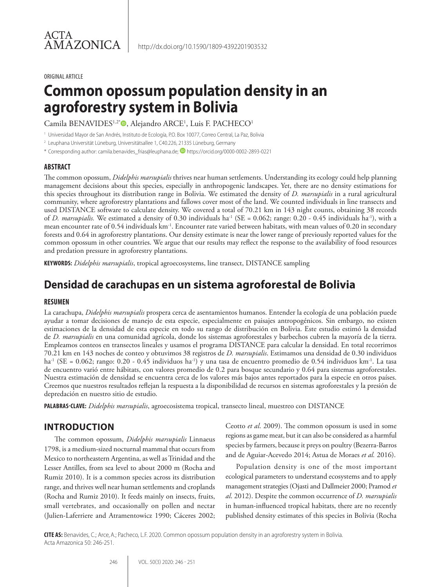#### ORIGINAL ARTICLE

# **Common opossum population density in an agroforestry system in Bolivia**

Camila BENAVIDES1,2\*®, Alejandro ARCE<sup>1</sup>, Luis F. PACHECO<sup>1</sup>

<sup>1</sup> Universidad Mayor de San Andrés, Instituto de Ecología, P.O. Box 10077, Correo Central, La Paz, Bolivia

<sup>2</sup> Leuphana Universität Lüneburg, Universitätsallee 1, C40.226, 21335 Lüneburg, Germany

\* Corresponding author: camila.benavides\_frias@leuphana.de; <sup>1</sup> https://orcid.org/0000-0002-2893-0221

#### **ABSTRACT**

The common opossum, *Didelphis marsupialis* thrives near human settlements. Understanding its ecology could help planning management decisions about this species, especially in anthropogenic landscapes. Yet, there are no density estimations for this species throughout its distribution range in Bolivia. We estimated the density of *D. marsupialis* in a rural agricultural community, where agroforestry plantations and fallows cover most of the land. We counted individuals in line transects and used DISTANCE software to calculate density. We covered a total of 70.21 km in 143 night counts, obtaining 38 records of *D. marsupialis.* We estimated a density of 0.30 individuals ha-1 (SE = 0.062; range: 0.20 - 0.45 individuals ha-1), with a mean encounter rate of 0.54 individuals km-1. Encounter rate varied between habitats, with mean values of 0.20 in secondary forests and 0.64 in agroforestry plantations. Our density estimate is near the lower range of previously reported values for the common opossum in other countries. We argue that our results may reflect the response to the availability of food resources and predation pressure in agroforestry plantations.

**KEYWORDS:** *Didelphis marsupialis*, tropical agroecosystems, line transect, DISTANCE sampling

# **Densidad de carachupas en un sistema agroforestal de Bolivia**

#### **RESUMEN**

La carachupa, *Didelphis marsupialis* prospera cerca de asentamientos humanos. Entender la ecología de una población puede ayudar a tomar decisiones de manejo de esta especie, especialmente en paisajes antropogénicos. Sin embargo, no existen estimaciones de la densidad de esta especie en todo su rango de distribución en Bolivia. Este estudio estimó la densidad de *D. marsupialis* en una comunidad agrícola, donde los sistemas agroforestales y barbechos cubren la mayoría de la tierra. Empleamos conteos en transectos lineales y usamos el programa DISTANCE para calcular la densidad. En total recorrimos 70.21 km en 143 noches de conteo y obtuvimos 38 registros de *D. marsupialis*. Estimamos una densidad de 0.30 individuos ha<sup>-1</sup> (SE = 0.062; rango: 0.20 - 0.45 individuos ha<sup>-1</sup>) y una tasa de encuentro promedio de 0.54 individuos km<sup>-1</sup>. La tasa de encuentro varió entre hábitats, con valores promedio de 0.2 para bosque secundario y 0.64 para sistemas agroforestales. Nuestra estimación de densidad se encuentra cerca de los valores más bajos antes reportados para la especie en otros países. Creemos que nuestros resultados reflejan la respuesta a la disponibilidad de recursos en sistemas agroforestales y la presión de depredación en nuestro sitio de estudio.

**PALABRAS-CLAVE:** *Didelphis marsupialis*, agroecosistema tropical, transecto lineal, muestreo con DISTANCE

# **INTRODUCTION**

The common opossum, *Didelphis marsupialis* Linnaeus 1798, is a medium-sized nocturnal mammal that occurs from Mexico to northeastern Argentina, as well as Trinidad and the Lesser Antilles, from sea level to about 2000 m (Rocha and Rumiz 2010). It is a common species across its distribution range, and thrives well near human settlements and croplands (Rocha and Rumiz 2010). It feeds mainly on insects, fruits, small vertebrates, and occasionally on pollen and nectar (Julien-Laferriere and Atramentowicz 1990; Cáceres 2002; Ceotto *et al*. 2009). The common opossum is used in some regions as game meat, but it can also be considered as a harmful species by farmers, because it preys on poultry (Bezerra-Barros and de Aguiar-Acevedo 2014; Astua de Moraes *et al.* 2016).

Population density is one of the most important ecological parameters to understand ecosystems and to apply management strategies (Ojasti and Dallmeier 2000; Pramod *et al*. 2012). Despite the common occurrence of *D. marsupialis* in human-influenced tropical habitats, there are no recently published density estimates of this species in Bolivia (Rocha

**CITE AS:** Benavides, C.; Arce,A.; Pacheco, L.F. 2020. Common opossum population density in an agroforestry system in Bolivia. Acta Amazonica 50: 246-251.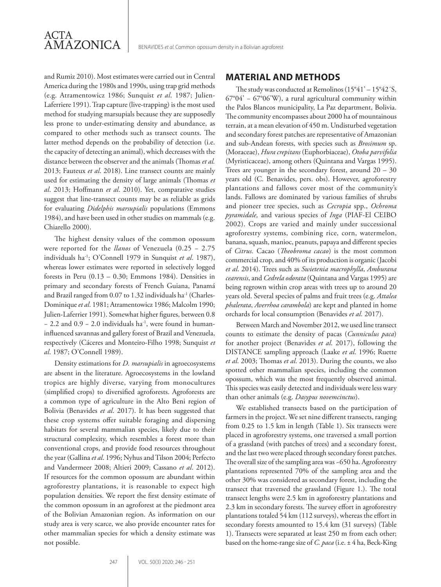

and Rumiz 2010). Most estimates were carried out in Central America during the 1980s and 1990s, using trap grid methods (e.g. Atramentowicz 1986; Sunquist *et al*. 1987; Julien-Laferriere 1991). Trap capture (live-trapping) is the most used method for studying marsupials because they are supposedly less prone to under-estimating density and abundance, as compared to other methods such as transect counts. The latter method depends on the probability of detection (i.e. the capacity of detecting an animal), which decreases with the distance between the observer and the animals (Thomas *et al.* 2013; Fauteux *et al*. 2018). Line transect counts are mainly used for estimating the density of large animals (Thomas *et al*. 2013; Hoffmann *et al*. 2010). Yet, comparative studies suggest that line-transect counts may be as reliable as grids for evaluating *Didelphis marsupialis* populations (Emmons 1984), and have been used in other studies on mammals (e.g. Chiarello 2000).

The highest density values of the common opossum were reported for the *llanos* of Venezuela (0.25 − 2.75 individuals ha-1; O'Connell 1979 in Sunquist *et al*. 1987), whereas lower estimates were reported in selectively logged forests in Peru  $(0.13 - 0.30;$  Emmons 1984). Densities in primary and secondary forests of French Guiana, Panamá and Brazil ranged from 0.07 to 1.32 individuals ha<sup>-1</sup> (Charles-Dominique *et al*. 1981; Atramentowicz 1986; Malcolm 1990; Julien-Laferrier 1991). Somewhat higher figures, between 0.8 − 2.2 and 0.9 − 2.0 individuals ha-1, were found in humaninfluenced savannas and gallery forest of Brazil and Venezuela, respectively (Cáceres and Monteiro-Filho 1998; Sunquist *et al*. 1987; O'Connell 1989).

Density estimations for *D. marsupialis* in agroecosystems are absent in the literature. Agroecosystems in the lowland tropics are highly diverse, varying from monocultures (simplified crops) to diversified agroforests. Agroforests are a common type of agriculture in the Alto Beni region of Bolivia (Benavides *et al*. 2017). It has been suggested that these crop systems offer suitable foraging and dispersing habitats for several mammalian species, likely due to their structural complexity, which resembles a forest more than conventional crops, and provide food resources throughout the year (Gallina *et al*. 1996; Nyhus and Tilson 2004; Perfecto and Vandermeer 2008; Altieri 2009; Cassano *et al*. 2012). If resources for the common opossum are abundant within agroforestry plantations, it is reasonable to expect high population densities. We report the first density estimate of the common opossum in an agroforest at the piedmont area of the Bolivian Amazonian region. As information on our study area is very scarce, we also provide encounter rates for other mammalian species for which a density estimate was not possible.

#### **MATERIAL AND METHODS**

The study was conducted at Remolinos (15°41' – 15°42´S, 67°04' − 67°06'W), a rural agricultural community within the Palos Blancos municipality, La Paz department, Bolivia. The community encompasses about 2000 ha of mountainous terrain, at a mean elevation of 450 m. Undisturbed vegetation and secondary forest patches are representative of Amazonian and sub-Andean forests, with species such as *Brosimum* sp. (Moraceae), *Hura crepitans* (Euphorbiaceae), *Otoba parvifolia* (Myristicaceae), among others (Quintana and Vargas 1995). Trees are younger in the secondary forest, around 20 – 30 years old (C. Benavides, pers. obs). However, agroforestry plantations and fallows cover most of the community's lands. Fallows are dominated by various families of shrubs and pioneer tree species, such as *Cecropia* spp., *Ochroma pyramidale,* and various species of *Inga* (PIAF-El CEIBO 2002). Crops are varied and mainly under successional agroforestry systems, combining rice, corn, watermelon, banana, squash, manioc, peanuts, papaya and different species of *Citrus.* Cacao (*Theobroma cacao*) is the most common commercial crop, and 40% of its production is organic (Jacobi *et al*. 2014). Trees such as *Swietenia macrophylla*, *Amburana cearensis*, and *Cedrela odorata* (Quintana and Vargas 1995) are being regrown within crop areas with trees up to around 20 years old. Several species of palms and fruit trees (e.g. *Attalea phalerata*, *Averrhoa carambola*) are kept and planted in home orchards for local consumption (Benavides *et al*. 2017).

Between March and November 2012, we used line transect counts to estimate the density of pacas (*Cunniculus paca*) for another project (Benavides *et al*. 2017), following the DISTANCE sampling approach (Laake *et al*. 1996; Ruette *et al*. 2003; Thomas *et al*. 2013). During the counts, we also spotted other mammalian species, including the common opossum, which was the most frequently observed animal. This species was easily detected and individuals were less wary than other animals (e.g. *Dasypus novemcinctus*).

We established transects based on the participation of farmers in the project. We set nine different transects, ranging from 0.25 to 1.5 km in length (Table 1). Six transects were placed in agroforestry systems, one traversed a small portion of a grassland (with patches of trees) and a secondary forest, and the last two were placed through secondary forest patches. The overall size of the sampling area was ~650 ha. Agroforestry plantations represented 70% of the sampling area and the other 30% was considered as secondary forest, including the transect that traversed the grassland (Figure 1.). The total transect lengths were 2.5 km in agroforestry plantations and 2.3 km in secondary forests. The survey effort in agroforestry plantations totaled 54 km (112 surveys), whereas the effort in secondary forests amounted to 15.4 km (31 surveys) (Table 1). Transects were separated at least 250 m from each other; based on the home-range size of *C. paca* (i.e. ± 4 ha, Beck-King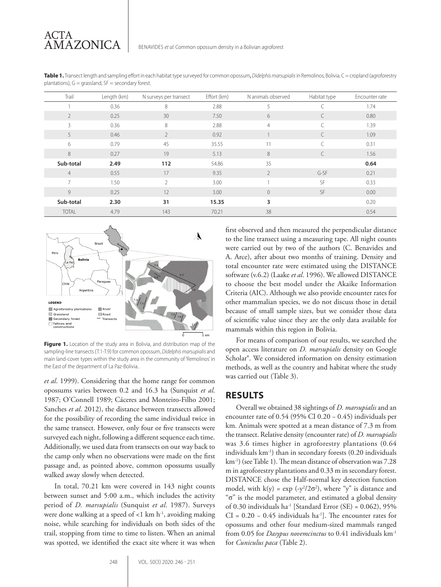**Table 1.** Transect length and sampling effort in each habitat type surveyed for common opossum, *Didelphis marsupialis* in Remolinos, Bolivia. C = cropland (agroforestry plantations),  $G =$  grassland,  $SF =$  secondary forest.

| Trail                    | Length (km) | N surveys per transect | Effort (km) | N animals observed | Habitat type | Encounter rate |
|--------------------------|-------------|------------------------|-------------|--------------------|--------------|----------------|
|                          | 0.36        | 8                      | 2.88        | 5                  |              | 1.74           |
| $\overline{\phantom{a}}$ | 0.25        | 30                     | 7.50        | 6                  |              | 0.80           |
| $\overline{\mathcal{E}}$ | 0.36        | 8                      | 2.88        | $\overline{4}$     |              | 1.39           |
| 5                        | 0.46        | $\overline{2}$         | 0.92        |                    |              | 1.09           |
| 6                        | 0.79        | 45                     | 35.55       | 11                 |              | 0.31           |
| 8                        | 0.27        | 19                     | 5.13        | 8                  |              | 1.56           |
| Sub-total                | 2.49        | 112                    | 54.86       | 35                 |              | 0.64           |
| $\overline{4}$           | 0.55        | 17                     | 9.35        | 2                  | G-SF         | 0.21           |
| $\overline{7}$           | 1.50        | $\overline{2}$         | 3.00        | 1                  | SF           | 0.33           |
| 9                        | 0.25        | 12                     | 3.00        | $\Omega$           | <b>SF</b>    | 0.00           |
| Sub-total                | 2.30        | 31                     | 15.35       | 3                  |              | 0.20           |
| <b>TOTAL</b>             | 4.79        | 143                    | 70.21       | 38                 |              | 0.54           |



Figure 1. Location of the study area in Bolivia, and distribution map of the sampling-line transects (T.1-T.9) for common opossum, *Didelphis marsupialis* and main land-cover types within the study area in the community of 'Remolinos' in the East of the department of La Paz-Bolivia..

*et al*. 1999). Considering that the home range for common opossums varies between 0.2 and 16.3 ha (Sunquist *et al*. 1987; O'Connell 1989; Cáceres and Monteiro-Filho 2001; Sanches *et al*. 2012), the distance between transects allowed for the possibility of recording the same individual twice in the same transect. However, only four or five transects were surveyed each night, following a different sequence each time. Additionally, we used data from transects on our way back to the camp only when no observations were made on the first passage and, as pointed above, common opossums usually walked away slowly when detected.

In total, 70.21 km were covered in 143 night counts between sunset and 5:00 a.m., which includes the activity period of *D. marsupialis* (Sunquist *et al*. 1987). Surveys were done walking at a speed of  $<$ 1 km h<sup>-1</sup>, avoiding making noise, while searching for individuals on both sides of the trail, stopping from time to time to listen. When an animal was spotted, we identified the exact site where it was when

first observed and then measured the perpendicular distance to the line transect using a measuring tape. All night counts were carried out by two of the authors (C. Benavides and A. Arce), after about two months of training. Density and total encounter rate were estimated using the DISTANCE software (v.6.2) (Laake *et al*. 1996). We allowed DISTANCE to choose the best model under the Akaike Information Criteria (AIC). Although we also provide encounter rates for other mammalian species, we do not discuss those in detail because of small sample sizes, but we consider those data of scientific value since they are the only data available for mammals within this region in Bolivia.

For means of comparison of our results, we searched the open access literature on *D. marsupialis* density on Google Scholar®. We considered information on density estimation methods, as well as the country and habitat where the study was carried out (Table 3).

# **RESULTS**

Overall we obtained 38 sightings of *D. marsupialis* and an encounter rate of 0.54 (95% CI 0.20 − 0.45) individuals per km. Animals were spotted at a mean distance of 7.3 m from the transect. Relative density (encounter rate) of *D. marsupialis* was 3.6 times higher in agroforestry plantations (0.64 individuals km-1) than in secondary forests (0.20 individuals km-1) (see Table 1). The mean distance of observation was 7.28 m in agroforestry plantations and 0.33 m in secondary forest. DISTANCE chose the Half-normal key detection function model, with  $k(y) = \exp(-y^2/2\sigma^2)$ , where "y" is distance and "σ" is the model parameter, and estimated a global density of 0.30 individuals ha<sup>-1</sup> [Standard Error (SE) =  $0.062$ ), 95%  $CI = 0.20 - 0.45$  individuals ha<sup>-1</sup>]. The encounter rates for opossums and other four medium-sized mammals ranged from 0.05 for *Dasypus novemcinctus* to 0.41 individuals km-1 for *Cuniculus paca* (Table 2).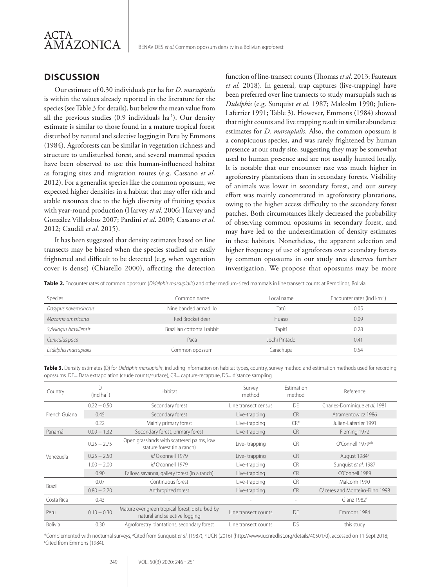

## **DISCUSSION**

Our estimate of 0.30 individuals per ha for *D. marsupialis* is within the values already reported in the literature for the species (see Table 3 for details), but below the mean value from all the previous studies (0.9 individuals ha-1). Our density estimate is similar to those found in a mature tropical forest disturbed by natural and selective logging in Peru by Emmons (1984). Agroforests can be similar in vegetation richness and structure to undisturbed forest, and several mammal species have been observed to use this human-influenced habitat as foraging sites and migration routes (e.g. Cassano *et al*. 2012). For a generalist species like the common opossum, we expected higher densities in a habitat that may offer rich and stable resources due to the high diversity of fruiting species with year-round production (Harvey *et al*. 2006; Harvey and González Villalobos 2007; Pardini *et al*. 2009; Cassano *et al*. 2012; Caudill *et al*. 2015).

It has been suggested that density estimates based on line transects may be biased when the species studied are easily frightened and difficult to be detected (e.g. when vegetation cover is dense) (Chiarello 2000), affecting the detection

function of line-transect counts (Thomas *et al*. 2013; Fauteaux *et al.* 2018). In general, trap captures (live-trapping) have been preferred over line transects to study marsupials such as *Didelphis* (e.g. Sunquist *et al*. 1987; Malcolm 1990; Julien-Laferrier 1991; Table 3). However, Emmons (1984) showed that night counts and live trapping result in similar abundance estimates for *D. marsupialis*. Also, the common opossum is a conspicuous species, and was rarely frightened by human presence at our study site, suggesting they may be somewhat used to human presence and are not usually hunted locally. It is notable that our encounter rate was much higher in agroforestry plantations than in secondary forests. Visibility of animals was lower in secondary forest, and our survey effort was mainly concentrated in agroforestry plantations, owing to the higher access difficulty to the secondary forest patches. Both circumstances likely decreased the probability of observing common opossums in secondary forest, and may have led to the underestimation of density estimates in these habitats. Nonetheless, the apparent selection and higher frequency of use of agroforests over secondary forests by common opossums in our study area deserves further investigation. We propose that opossums may be more

**Table 2.** Encounter rates of common opossum (*Didelphis marsupialis*) and other medium-sized mammals in line transect counts at Remolinos, Bolivia.

| Species                 | Common name                 | l ocal name   | Encounter rates (ind km <sup>-1</sup> ) |
|-------------------------|-----------------------------|---------------|-----------------------------------------|
| Dasypus novemcinctus    | Nine banded armadillo       | Tatú          | 0.05                                    |
| Mazama americana        | Red Brocket deer            | Huaso         | 0.09                                    |
| Sylvilagus brasiliensis | Brazilian cottontail rabbit | Tapití        | 0.28                                    |
| Cuniculus paca          | Paca                        | Jochi Pintado | 0.41                                    |
| Didelphis marsupialis   | Common opossum              | Carachupa     | 0.54                                    |

**Table 3.** Density estimates (D) for *Didelphis marsupialis*, including information on habitat types, country, survey method and estimation methods used for recording opossums. DE= Data extrapolation (crude counts/surface), CR= capture-recapture, DS= distance sampling

| Country        | $(ind ha-1)$  | Habitat                                                                          | Survey<br>method     | Estimation<br>method | Reference                       |
|----------------|---------------|----------------------------------------------------------------------------------|----------------------|----------------------|---------------------------------|
| French Guiana  | $0.22 - 0.50$ | Secondary forest                                                                 | Line transect census | DF                   | Charles-Dominique et al. 1981   |
|                | 0.45          | Secondary forest                                                                 | Live-trapping        | <b>CR</b>            | Atramentowicz 1986              |
|                | 0.22          | Mainly primary forest                                                            | Live-trapping        | $CR^*$               | Julien-Laferrier 1991           |
| Panamá         | $0.09 - 1.32$ | Secondary forest, primary forest                                                 | Live-trapping        | <b>CR</b>            | Fleming 1972                    |
| Venezuela      | $0.25 - 2.75$ | Open grasslands with scattered palms, low<br>stature forest (in a ranch)         | Live-trapping        | CR.                  | O'Connell 1979 <sup>a,b</sup>   |
|                | $0.25 - 2.50$ | id O'connell 1979                                                                | Live-trapping        | C <sub>R</sub>       | August 1984 <sup>a</sup>        |
|                | $1.00 - 2.00$ | id O'connell 1979                                                                | Live-trapping        | <b>CR</b>            | Sunguist et al. 1987            |
|                | 0.90          | Fallow, savanna, gallery forest (in a ranch)                                     | Live-trapping        | <b>CR</b>            | O'Connell 1989                  |
| Brazil         | 0.07          | Continuous forest                                                                | Live-trapping        | <b>CR</b>            | Malcolm 1990                    |
|                | $0.80 - 2.20$ | Anthropized forest                                                               | Live-trapping        | <b>CR</b>            | Cáceres and Monteiro-Filho 1998 |
| Costa Rica     | 0.43          |                                                                                  |                      |                      | Glanz $1982c$                   |
| Peru           | $0.13 - 0.30$ | Mature ever green tropical forest, disturbed by<br>natural and selective logging | Line transect counts | DF                   | Emmons 1984                     |
| <b>Bolivia</b> | 0.30          | Agroforestry plantations, secondary forest                                       | Line transect counts | <b>DS</b>            | this study                      |

\*Complemented with nocturnal surveys, <sup>a</sup>Cited from Sunquist *et al*. (1987), <sup>b</sup>IUCN (2016) (http://www.iucnredlist.org/details/40501/0), accessed on 11 Sept 2018;<br><sup>c</sup>Cited from Emmons (1984) Cited from Emmons (1984).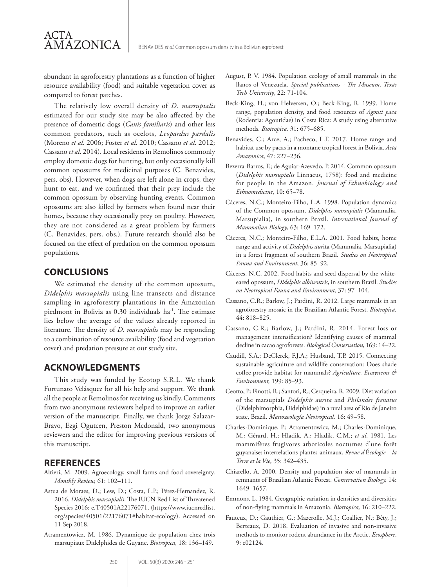abundant in agroforestry plantations as a function of higher resource availability (food) and suitable vegetation cover as compared to forest patches.

The relatively low overall density of *D. marsupialis* estimated for our study site may be also affected by the presence of domestic dogs (*Canis familiaris*) and other less common predators, such as ocelots, *Leopardus pardalis* (Moreno *et al*. 2006; Foster *et al*. 2010; Cassano *et al*. 2012; Cassano *et al*. 2014). Local residents in Remolinos commonly employ domestic dogs for hunting, but only occasionally kill common opossums for medicinal purposes (C. Benavides, pers. obs). However, when dogs are left alone in crops, they hunt to eat, and we confirmed that their prey include the common opossum by observing hunting events. Common opossums are also killed by farmers when found near their homes, because they occasionally prey on poultry. However, they are not considered as a great problem by farmers (C. Benavides, pers. obs.). Future research should also be focused on the effect of predation on the common opossum populations.

#### **CONCLUSIONS**

ACTA

AMAZONICA

We estimated the density of the common opossum, *Didelphis marsupialis* using line transects and distance sampling in agroforestry plantations in the Amazonian piedmont in Bolivia as 0.30 individuals ha<sup>-1</sup>. The estimate lies below the average of the values already reported in literature. The density of *D. marsupialis* may be responding to a combination of resource availability (food and vegetation cover) and predation pressure at our study site.

## **ACKNOWLEDGMENTS**

This study was funded by Ecotop S.R.L. We thank Fortunato Velásquez for all his help and support. We thank all the people at Remolinos for receiving us kindly. Comments from two anonymous reviewers helped to improve an earlier version of the manuscript. Finally, we thank Jorge Salazar-Bravo, Ezgi Ogutcen, Preston Mcdonald, two anonymous reviewers and the editor for improving previous versions of this manuscript.

#### **REFERENCES**

- Altieri, M. 2009. Agroecology, small farms and food sovereignty. *Monthly Review,* 61: 102–111.
- Astua de Moraes, D.; Lew, D.; Costa, L.P.; Pérez-Hernandez, R. 2016. *Didelphis marsupialis*. The IUCN Red List of Threatened Species 2016: e.T40501A22176071, (https://www.iucnredlist. org/species/40501/22176071#habitat-ecology). Accessed on 11 Sep 2018.
- Atramentowicz, M. 1986. Dynamique de population chez trois marsupiaux Didelphides de Guyane. *Biotropica,* 18: 136–149.
- Beck-King, H.; von Helversen, O.; Beck-King, R. 1999. Home range, population density, and food resources of *Agouti paca* (Rodentia: Agoutidae) in Costa Rica: A study using alternative methods. *Biotropica,* 31: 675–685.
- Benavides, C.; Arce, A.; Pacheco, L.F. 2017. Home range and habitat use by pacas in a montane tropical forest in Bolivia. *Acta Amazonica*, 47: 227–236.
- Bezerra-Barros, F.; de Aguiar-Azevedo, P. 2014. Common opossum (*Didelphis marsupialis* Linnaeus, 1758): food and medicine for people in the Amazon. *Journal of Ethnobiology and Ethnomedicine*, 10: 65–78.
- Cáceres, N.C.; Monteiro-Filho, L.A. 1998. Population dynamics of the Common opossum, *Didelphis marsupialis* (Mammalia, Marsupialia), in southern Brazil. *International Journal of Mammalian Biology*, 63: 169–172.
- Cáceres, N.C.; Monteiro-Filho, E.L.A. 2001. Food habits, home range and activity of *Didelphis aur*ita (Mammalia, Marsupialia) in a forest fragment of southern Brazil. *Studies on Neotropical Fauna and Environment*, 36: 85–92.
- Cáceres, N.C. 2002. Food habits and seed dispersal by the whiteeared opossum, *Didelphis albiventris*, in southern Brazil. *Studies on Neotropical Fauna and Environment,* 37: 97–104.
- Cassano, C.R.; Barlow, J.; Pardini, R. 2012. Large mammals in an agroforestry mosaic in the Brazilian Atlantic Forest. *Biotropica,* 44: 818–825.
- Cassano, C.R.; Barlow, J.; Pardini, R. 2014. Forest loss or management intensification? Identifying causes of mammal decline in cacao agroforests. *Biological Conservation*, 169: 14–22.
- Caudill, S.A.; DeClerck, F.J.A.; Husband, T.P. 2015. Connecting sustainable agriculture and wildlife conservation: Does shade coffee provide habitat for mammals? *Agriculture, Ecosystems & Environment,* 199: 85–93.
- Ceotto, P.; Finotti, R.; Santori, R.; Cerqueira, R. 2009. Diet variation of the marsupials *Didelphis aurita* and *Philander frenatus* (Didelphimorphia, Didelphidae) in a rural area of Rio de Janeiro state, Brazil. *Mastozoología Neotropical,* 16: 49–58.
- Charles-Dominique, P.; Atramentowicz, M.; Charles-Dominique, M.; Gérard, H.; Hladik, A.; Hladik, C.M.; *et al*. 1981. Les mammifères frugivores arboricoles nocturnes d'une forêt guyanaise: interrelations plantes-animaux. *Revue d'*É*cologie – la Terre et la Vie*, 35: 342–435.
- Chiarello, A. 2000. Density and population size of mammals in remnants of Brazilian Atlantic Forest. *Conservation Biology,* 14: 1649–1657.
- Emmons, L. 1984. Geographic variation in densities and diversities of non-flying mammals in Amazonia. *Biotropica,* 16: 210–222.
- Fauteux, D.; Gauthier, G.; Mazerolle, M.J.; Coallier, N.; Bêty, J.; Berteaux, D. 2018. Evaluation of invasive and non-invasive methods to monitor rodent abundance in the Arctic. *Ecosphere*, 9: e02124.